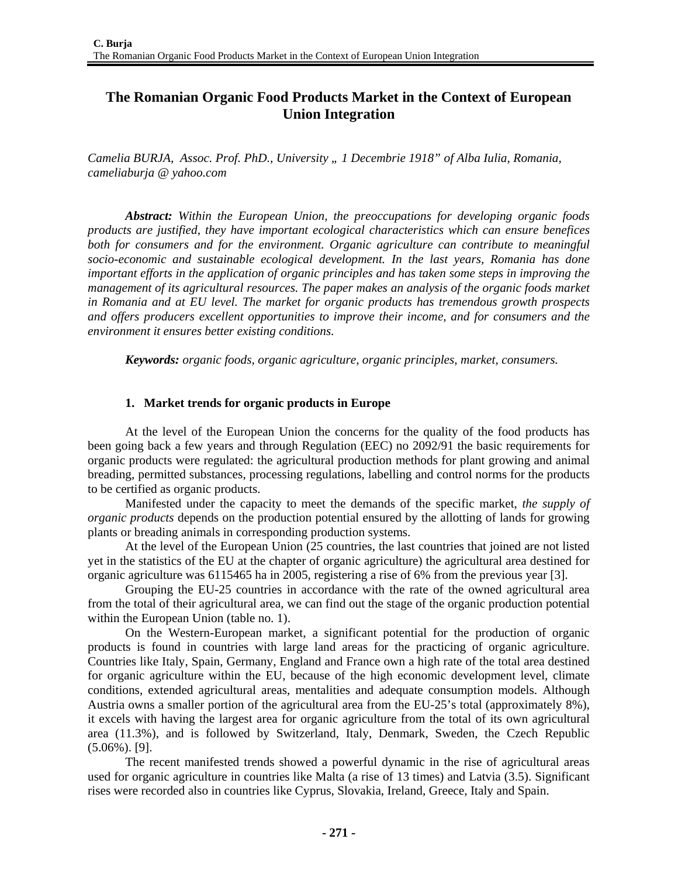## **The Romanian Organic Food Products Market in the Context of European Union Integration**

*Camelia BURJA, Assoc. Prof. PhD., University " 1 Decembrie 1918" of Alba Iulia, Romania, cameliaburja @ yahoo.com* 

*Abstract: Within the European Union, the preoccupations for developing organic foods products are justified, they have important ecological characteristics which can ensure benefices*  both for consumers and for the environment. Organic agriculture can contribute to meaningful *socio-economic and sustainable ecological development. In the last years, Romania has done important efforts in the application of organic principles and has taken some steps in improving the management of its agricultural resources. The paper makes an analysis of the organic foods market in Romania and at EU level. The market for organic products has tremendous growth prospects and offers producers excellent opportunities to improve their income, and for consumers and the environment it ensures better existing conditions.* 

*Keywords: organic foods, organic agriculture, organic principles, market, consumers.* 

## **1. Market trends for organic products in Europe**

At the level of the European Union the concerns for the quality of the food products has been going back a few years and through Regulation (EEC) no 2092/91 the basic requirements for organic products were regulated: the agricultural production methods for plant growing and animal breading, permitted substances, processing regulations, labelling and control norms for the products to be certified as organic products.

Manifested under the capacity to meet the demands of the specific market, *the supply of organic products* depends on the production potential ensured by the allotting of lands for growing plants or breading animals in corresponding production systems.

At the level of the European Union (25 countries, the last countries that joined are not listed yet in the statistics of the EU at the chapter of organic agriculture) the agricultural area destined for organic agriculture was 6115465 ha in 2005, registering a rise of 6% from the previous year [3].

Grouping the EU-25 countries in accordance with the rate of the owned agricultural area from the total of their agricultural area, we can find out the stage of the organic production potential within the European Union (table no. 1).

On the Western-European market, a significant potential for the production of organic products is found in countries with large land areas for the practicing of organic agriculture. Countries like Italy, Spain, Germany, England and France own a high rate of the total area destined for organic agriculture within the EU, because of the high economic development level, climate conditions, extended agricultural areas, mentalities and adequate consumption models. Although Austria owns a smaller portion of the agricultural area from the EU-25's total (approximately 8%), it excels with having the largest area for organic agriculture from the total of its own agricultural area (11.3%), and is followed by Switzerland, Italy, Denmark, Sweden, the Czech Republic (5.06%). [9].

The recent manifested trends showed a powerful dynamic in the rise of agricultural areas used for organic agriculture in countries like Malta (a rise of 13 times) and Latvia (3.5). Significant rises were recorded also in countries like Cyprus, Slovakia, Ireland, Greece, Italy and Spain.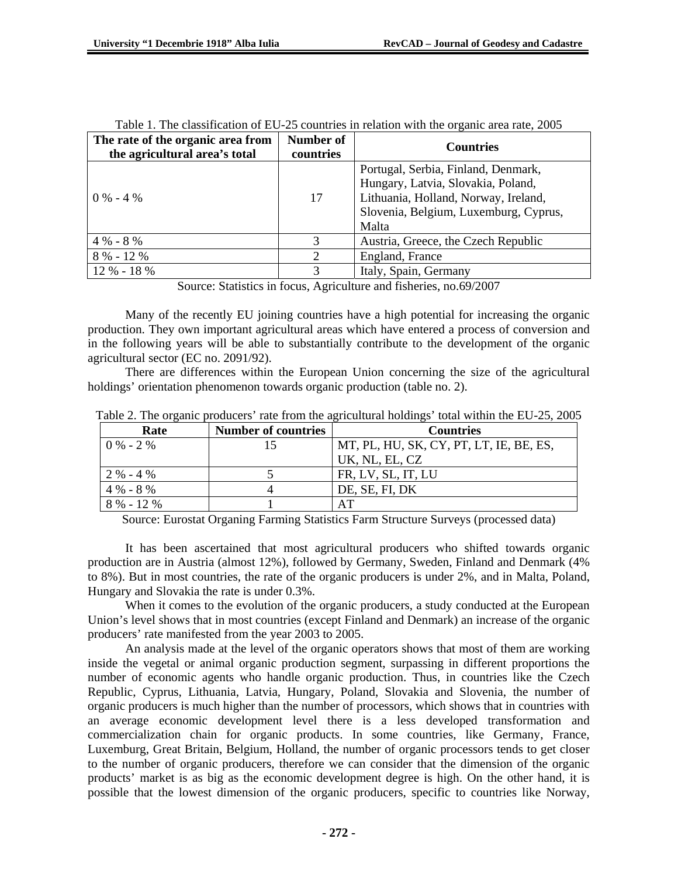| The rate of the organic area from | Number of | <b>Countries</b>                      |  |
|-----------------------------------|-----------|---------------------------------------|--|
| the agricultural area's total     | countries |                                       |  |
| $0\% - 4\%$                       | 17        | Portugal, Serbia, Finland, Denmark,   |  |
|                                   |           | Hungary, Latvia, Slovakia, Poland,    |  |
|                                   |           | Lithuania, Holland, Norway, Ireland,  |  |
|                                   |           | Slovenia, Belgium, Luxemburg, Cyprus, |  |
|                                   |           | Malta                                 |  |
| $4\% - 8\%$                       | 3         | Austria, Greece, the Czech Republic   |  |
| $8\% - 12\%$                      | 2         | England, France                       |  |
| $12 \% - 18 \%$                   | 3         | Italy, Spain, Germany                 |  |

| Table 1. The classification of EU-25 countries in relation with the organic area rate, 2005 |  |
|---------------------------------------------------------------------------------------------|--|
|---------------------------------------------------------------------------------------------|--|

Source: Statistics in focus, Agriculture and fisheries, no.69/2007

Many of the recently EU joining countries have a high potential for increasing the organic production. They own important agricultural areas which have entered a process of conversion and in the following years will be able to substantially contribute to the development of the organic agricultural sector (EC no. 2091/92).

There are differences within the European Union concerning the size of the agricultural holdings' orientation phenomenon towards organic production (table no. 2).

| Rate          | <b>Number of countries</b> | <b>Countries</b>                        |
|---------------|----------------------------|-----------------------------------------|
| $0\% - 2\%$   |                            | MT, PL, HU, SK, CY, PT, LT, IE, BE, ES, |
|               |                            | UK, NL, EL, CZ                          |
| $2 \% - 4 \%$ |                            | FR, LV, SL, IT, LU                      |
| $4\% - 8\%$   |                            | DE, SE, FI, DK                          |
| $8\% - 12\%$  |                            | A <sup>T</sup>                          |

Table 2. The organic producers' rate from the agricultural holdings' total within the EU-25, 2005

Source: Eurostat Organing Farming Statistics Farm Structure Surveys (processed data)

It has been ascertained that most agricultural producers who shifted towards organic production are in Austria (almost 12%), followed by Germany, Sweden, Finland and Denmark (4% to 8%). But in most countries, the rate of the organic producers is under 2%, and in Malta, Poland, Hungary and Slovakia the rate is under 0.3%.

When it comes to the evolution of the organic producers, a study conducted at the European Union's level shows that in most countries (except Finland and Denmark) an increase of the organic producers' rate manifested from the year 2003 to 2005.

An analysis made at the level of the organic operators shows that most of them are working inside the vegetal or animal organic production segment, surpassing in different proportions the number of economic agents who handle organic production. Thus, in countries like the Czech Republic, Cyprus, Lithuania, Latvia, Hungary, Poland, Slovakia and Slovenia, the number of organic producers is much higher than the number of processors, which shows that in countries with an average economic development level there is a less developed transformation and commercialization chain for organic products. In some countries, like Germany, France, Luxemburg, Great Britain, Belgium, Holland, the number of organic processors tends to get closer to the number of organic producers, therefore we can consider that the dimension of the organic products' market is as big as the economic development degree is high. On the other hand, it is possible that the lowest dimension of the organic producers, specific to countries like Norway,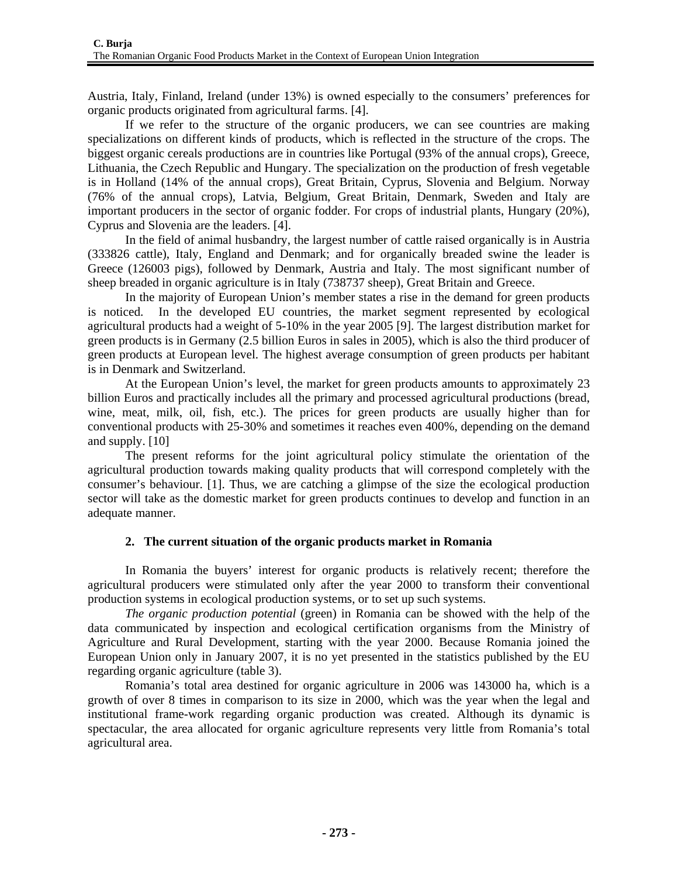Austria, Italy, Finland, Ireland (under 13%) is owned especially to the consumers' preferences for organic products originated from agricultural farms. [4].

If we refer to the structure of the organic producers, we can see countries are making specializations on different kinds of products, which is reflected in the structure of the crops. The biggest organic cereals productions are in countries like Portugal (93% of the annual crops), Greece, Lithuania, the Czech Republic and Hungary. The specialization on the production of fresh vegetable is in Holland (14% of the annual crops), Great Britain, Cyprus, Slovenia and Belgium. Norway (76% of the annual crops), Latvia, Belgium, Great Britain, Denmark, Sweden and Italy are important producers in the sector of organic fodder. For crops of industrial plants, Hungary (20%), Cyprus and Slovenia are the leaders. [4].

In the field of animal husbandry, the largest number of cattle raised organically is in Austria (333826 cattle), Italy, England and Denmark; and for organically breaded swine the leader is Greece (126003 pigs), followed by Denmark, Austria and Italy. The most significant number of sheep breaded in organic agriculture is in Italy (738737 sheep), Great Britain and Greece.

In the majority of European Union's member states a rise in the demand for green products is noticed. In the developed EU countries, the market segment represented by ecological agricultural products had a weight of 5-10% in the year 2005 [9]. The largest distribution market for green products is in Germany (2.5 billion Euros in sales in 2005), which is also the third producer of green products at European level. The highest average consumption of green products per habitant is in Denmark and Switzerland.

At the European Union's level, the market for green products amounts to approximately 23 billion Euros and practically includes all the primary and processed agricultural productions (bread, wine, meat, milk, oil, fish, etc.). The prices for green products are usually higher than for conventional products with 25-30% and sometimes it reaches even 400%, depending on the demand and supply. [10]

The present reforms for the joint agricultural policy stimulate the orientation of the agricultural production towards making quality products that will correspond completely with the consumer's behaviour. [1]. Thus, we are catching a glimpse of the size the ecological production sector will take as the domestic market for green products continues to develop and function in an adequate manner.

## **2. The current situation of the organic products market in Romania**

In Romania the buyers' interest for organic products is relatively recent; therefore the agricultural producers were stimulated only after the year 2000 to transform their conventional production systems in ecological production systems, or to set up such systems.

*The organic production potential* (green) in Romania can be showed with the help of the data communicated by inspection and ecological certification organisms from the Ministry of Agriculture and Rural Development, starting with the year 2000. Because Romania joined the European Union only in January 2007, it is no yet presented in the statistics published by the EU regarding organic agriculture (table 3).

Romania's total area destined for organic agriculture in 2006 was 143000 ha, which is a growth of over 8 times in comparison to its size in 2000, which was the year when the legal and institutional frame-work regarding organic production was created. Although its dynamic is spectacular, the area allocated for organic agriculture represents very little from Romania's total agricultural area.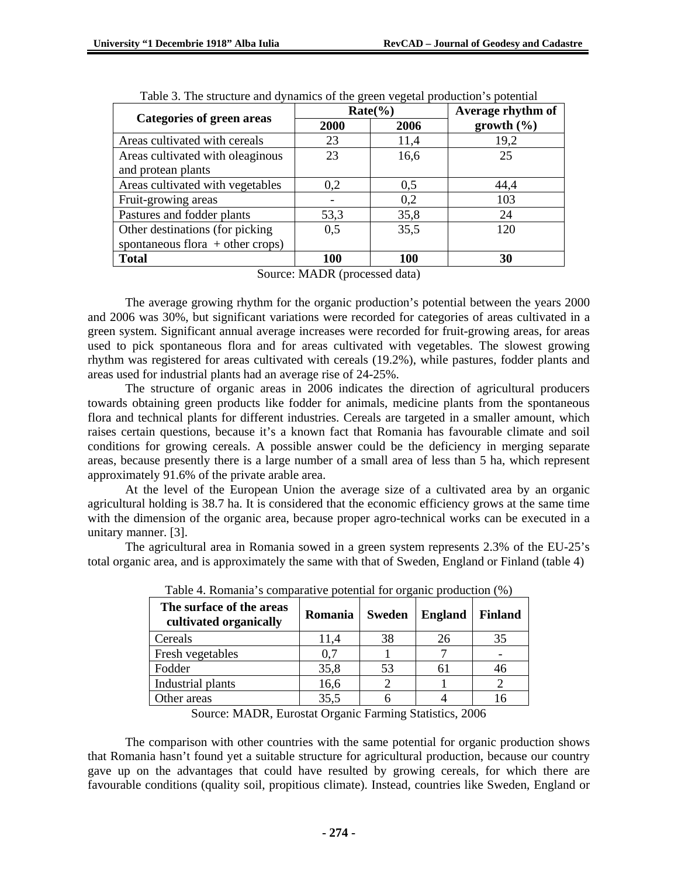| <b>Categories of green areas</b>                                  |            | $Rate(\%)$ | Average rhythm of |  |  |  |
|-------------------------------------------------------------------|------------|------------|-------------------|--|--|--|
|                                                                   | 2000       | 2006       | growth (%)        |  |  |  |
| Areas cultivated with cereals                                     | 23         | 11,4       | 19,2              |  |  |  |
| Areas cultivated with oleaginous                                  | 23         | 16,6       | 25                |  |  |  |
| and protean plants                                                |            |            |                   |  |  |  |
| Areas cultivated with vegetables                                  | 0,2        | 0,5        | 44,4              |  |  |  |
| Fruit-growing areas                                               |            | 0,2        | 103               |  |  |  |
| Pastures and fodder plants                                        | 53,3       | 35,8       | 24                |  |  |  |
| Other destinations (for picking)                                  | 0,5        | 35,5       | 120               |  |  |  |
| spontaneous flora $+$ other crops)                                |            |            |                   |  |  |  |
| <b>Total</b>                                                      | <b>100</b> | <b>100</b> | 30                |  |  |  |
| $\mathbf{1}$ f $\mathbf{1}$ m, $\mathbf{1}$<br>$\sim$<br>$\cdots$ |            |            |                   |  |  |  |

| Table 3. The structure and dynamics of the green vegetal production's potential |  |  |  |
|---------------------------------------------------------------------------------|--|--|--|
|                                                                                 |  |  |  |

Source: MADR (processed data)

The average growing rhythm for the organic production's potential between the years 2000 and 2006 was 30%, but significant variations were recorded for categories of areas cultivated in a green system. Significant annual average increases were recorded for fruit-growing areas, for areas used to pick spontaneous flora and for areas cultivated with vegetables. The slowest growing rhythm was registered for areas cultivated with cereals (19.2%), while pastures, fodder plants and areas used for industrial plants had an average rise of 24-25%.

The structure of organic areas in 2006 indicates the direction of agricultural producers towards obtaining green products like fodder for animals, medicine plants from the spontaneous flora and technical plants for different industries. Cereals are targeted in a smaller amount, which raises certain questions, because it's a known fact that Romania has favourable climate and soil conditions for growing cereals. A possible answer could be the deficiency in merging separate areas, because presently there is a large number of a small area of less than 5 ha, which represent approximately 91.6% of the private arable area.

At the level of the European Union the average size of a cultivated area by an organic agricultural holding is 38.7 ha. It is considered that the economic efficiency grows at the same time with the dimension of the organic area, because proper agro-technical works can be executed in a unitary manner. [3].

The agricultural area in Romania sowed in a green system represents 2.3% of the EU-25's total organic area, and is approximately the same with that of Sweden, England or Finland (table 4)

| The surface of the areas<br>cultivated organically | Romania | <b>Sweden</b> | <b>England</b> | <b>Finland</b> |
|----------------------------------------------------|---------|---------------|----------------|----------------|
| Cereals                                            | 11,4    | 38            | 26             | 35             |
| Fresh vegetables                                   | 0.7     |               |                |                |
| Fodder                                             | 35,8    | 53            | 61             |                |
| Industrial plants                                  | 16,6    |               |                |                |
| Other areas                                        | 35,5    |               |                |                |

Table 4. Romania's comparative potential for organic production (%)

Source: MADR, Eurostat Organic Farming Statistics, 2006

The comparison with other countries with the same potential for organic production shows that Romania hasn't found yet a suitable structure for agricultural production, because our country gave up on the advantages that could have resulted by growing cereals, for which there are favourable conditions (quality soil, propitious climate). Instead, countries like Sweden, England or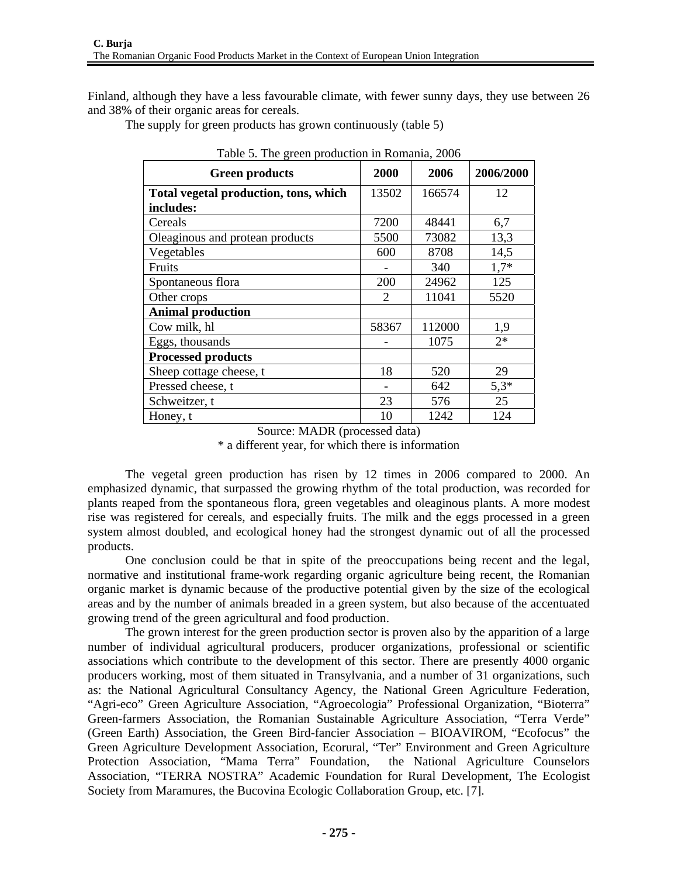Finland, although they have a less favourable climate, with fewer sunny days, they use between 26 and 38% of their organic areas for cereals.

The supply for green products has grown continuously (table 5)

| racio e, The green production in reomania, 2000 |       |        |           |  |  |
|-------------------------------------------------|-------|--------|-----------|--|--|
| <b>Green products</b>                           | 2000  | 2006   | 2006/2000 |  |  |
| Total vegetal production, tons, which           | 13502 | 166574 | 12        |  |  |
| includes:                                       |       |        |           |  |  |
| Cereals                                         | 7200  | 48441  | 6,7       |  |  |
| Oleaginous and protean products                 | 5500  | 73082  | 13,3      |  |  |
| Vegetables                                      | 600   | 8708   | 14,5      |  |  |
| Fruits                                          |       | 340    | $1,7*$    |  |  |
| Spontaneous flora                               | 200   | 24962  | 125       |  |  |
| Other crops                                     | 2     | 11041  | 5520      |  |  |
| <b>Animal production</b>                        |       |        |           |  |  |
| Cow milk, hl                                    | 58367 | 112000 | 1,9       |  |  |
| Eggs, thousands                                 |       | 1075   | $2*$      |  |  |
| <b>Processed products</b>                       |       |        |           |  |  |
| Sheep cottage cheese, t                         | 18    | 520    | 29        |  |  |
| Pressed cheese, t                               |       | 642    | $5,3*$    |  |  |
| Schweitzer, t                                   | 23    | 576    | 25        |  |  |
| Honey, t                                        | 10    | 1242   | 124       |  |  |

Table 5. The green production in Romania, 2006

Source: MADR (processed data) \* a different year, for which there is information

The vegetal green production has risen by 12 times in 2006 compared to 2000. An emphasized dynamic, that surpassed the growing rhythm of the total production, was recorded for plants reaped from the spontaneous flora, green vegetables and oleaginous plants. A more modest rise was registered for cereals, and especially fruits. The milk and the eggs processed in a green system almost doubled, and ecological honey had the strongest dynamic out of all the processed products.

One conclusion could be that in spite of the preoccupations being recent and the legal, normative and institutional frame-work regarding organic agriculture being recent, the Romanian organic market is dynamic because of the productive potential given by the size of the ecological areas and by the number of animals breaded in a green system, but also because of the accentuated growing trend of the green agricultural and food production.

The grown interest for the green production sector is proven also by the apparition of a large number of individual agricultural producers, producer organizations, professional or scientific associations which contribute to the development of this sector. There are presently 4000 organic producers working, most of them situated in Transylvania, and a number of 31 organizations, such as: the National Agricultural Consultancy Agency, the National Green Agriculture Federation, "Agri-eco" Green Agriculture Association, "Agroecologia" Professional Organization, "Bioterra" Green-farmers Association, the Romanian Sustainable Agriculture Association, "Terra Verde" (Green Earth) Association, the Green Bird-fancier Association – BIOAVIROM, "Ecofocus" the Green Agriculture Development Association, Ecorural, "Ter" Environment and Green Agriculture Protection Association, "Mama Terra" Foundation, the National Agriculture Counselors Association, "TERRA NOSTRA" Academic Foundation for Rural Development, The Ecologist Society from Maramures, the Bucovina Ecologic Collaboration Group, etc. [7].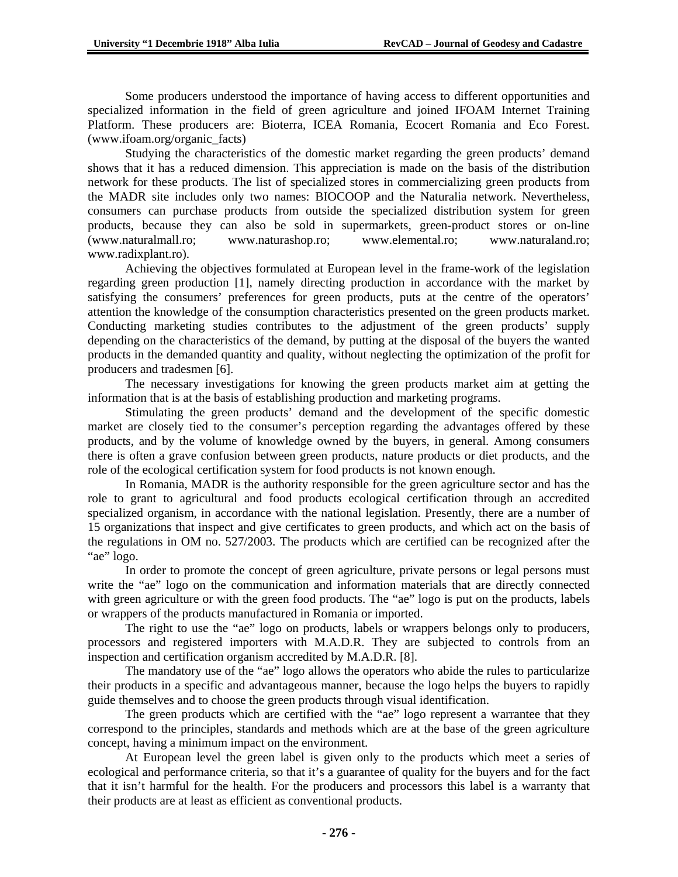Some producers understood the importance of having access to different opportunities and specialized information in the field of green agriculture and joined IFOAM Internet Training Platform. These producers are: Bioterra, ICEA Romania, Ecocert Romania and Eco Forest. (www.ifoam.org/organic\_facts)

Studying the characteristics of the domestic market regarding the green products' demand shows that it has a reduced dimension. This appreciation is made on the basis of the distribution network for these products. The list of specialized stores in commercializing green products from the MADR site includes only two names: BIOCOOP and the Naturalia network. Nevertheless, consumers can purchase products from outside the specialized distribution system for green products, because they can also be sold in supermarkets, green-product stores or on-line (www.naturalmall.ro; www.naturashop.ro; www.elemental.ro; www.naturaland.ro; www.radixplant.ro).

Achieving the objectives formulated at European level in the frame-work of the legislation regarding green production [1], namely directing production in accordance with the market by satisfying the consumers' preferences for green products, puts at the centre of the operators' attention the knowledge of the consumption characteristics presented on the green products market. Conducting marketing studies contributes to the adjustment of the green products' supply depending on the characteristics of the demand, by putting at the disposal of the buyers the wanted products in the demanded quantity and quality, without neglecting the optimization of the profit for producers and tradesmen [6].

The necessary investigations for knowing the green products market aim at getting the information that is at the basis of establishing production and marketing programs.

Stimulating the green products' demand and the development of the specific domestic market are closely tied to the consumer's perception regarding the advantages offered by these products, and by the volume of knowledge owned by the buyers, in general. Among consumers there is often a grave confusion between green products, nature products or diet products, and the role of the ecological certification system for food products is not known enough.

In Romania, MADR is the authority responsible for the green agriculture sector and has the role to grant to agricultural and food products ecological certification through an accredited specialized organism, in accordance with the national legislation. Presently, there are a number of 15 organizations that inspect and give certificates to green products, and which act on the basis of the regulations in OM no. 527/2003. The products which are certified can be recognized after the "ae" logo.

In order to promote the concept of green agriculture, private persons or legal persons must write the "ae" logo on the communication and information materials that are directly connected with green agriculture or with the green food products. The "ae" logo is put on the products, labels or wrappers of the products manufactured in Romania or imported.

The right to use the "ae" logo on products, labels or wrappers belongs only to producers, processors and registered importers with M.A.D.R. They are subjected to controls from an inspection and certification organism accredited by M.A.D.R. [8].

The mandatory use of the "ae" logo allows the operators who abide the rules to particularize their products in a specific and advantageous manner, because the logo helps the buyers to rapidly guide themselves and to choose the green products through visual identification.

The green products which are certified with the "ae" logo represent a warrantee that they correspond to the principles, standards and methods which are at the base of the green agriculture concept, having a minimum impact on the environment.

At European level the green label is given only to the products which meet a series of ecological and performance criteria, so that it's a guarantee of quality for the buyers and for the fact that it isn't harmful for the health. For the producers and processors this label is a warranty that their products are at least as efficient as conventional products.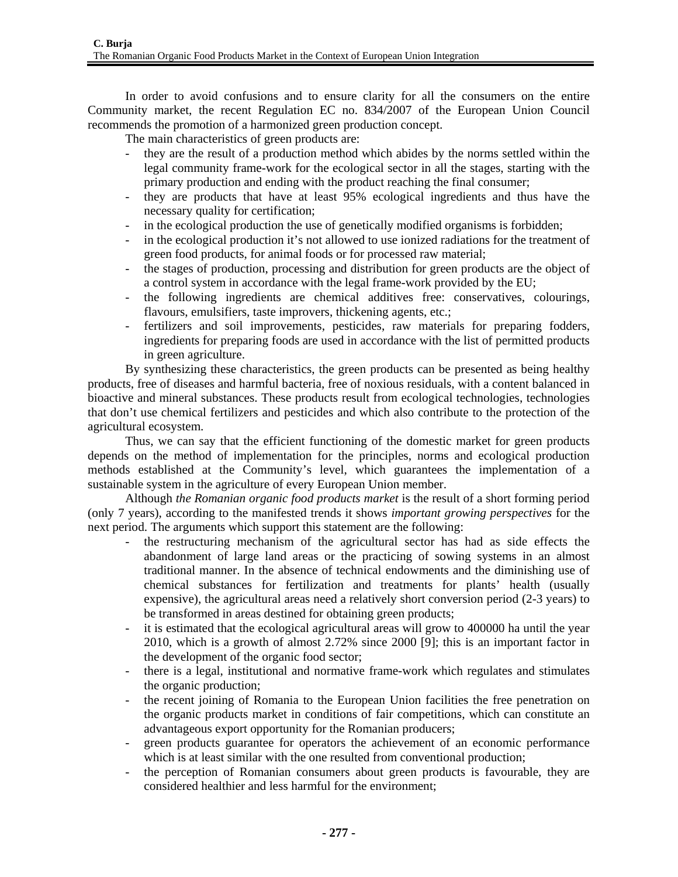In order to avoid confusions and to ensure clarity for all the consumers on the entire Community market, the recent Regulation EC no. 834/2007 of the European Union Council recommends the promotion of a harmonized green production concept.

The main characteristics of green products are:

- they are the result of a production method which abides by the norms settled within the legal community frame-work for the ecological sector in all the stages, starting with the primary production and ending with the product reaching the final consumer;
- they are products that have at least 95% ecological ingredients and thus have the necessary quality for certification;
- in the ecological production the use of genetically modified organisms is forbidden;
- in the ecological production it's not allowed to use ionized radiations for the treatment of green food products, for animal foods or for processed raw material;
- the stages of production, processing and distribution for green products are the object of a control system in accordance with the legal frame-work provided by the EU;
- the following ingredients are chemical additives free: conservatives, colourings, flavours, emulsifiers, taste improvers, thickening agents, etc.;
- fertilizers and soil improvements, pesticides, raw materials for preparing fodders, ingredients for preparing foods are used in accordance with the list of permitted products in green agriculture.

By synthesizing these characteristics, the green products can be presented as being healthy products, free of diseases and harmful bacteria, free of noxious residuals, with a content balanced in bioactive and mineral substances. These products result from ecological technologies, technologies that don't use chemical fertilizers and pesticides and which also contribute to the protection of the agricultural ecosystem.

Thus, we can say that the efficient functioning of the domestic market for green products depends on the method of implementation for the principles, norms and ecological production methods established at the Community's level, which guarantees the implementation of a sustainable system in the agriculture of every European Union member.

Although *the Romanian organic food products market* is the result of a short forming period (only 7 years), according to the manifested trends it shows *important growing perspectives* for the next period. The arguments which support this statement are the following:

- the restructuring mechanism of the agricultural sector has had as side effects the abandonment of large land areas or the practicing of sowing systems in an almost traditional manner. In the absence of technical endowments and the diminishing use of chemical substances for fertilization and treatments for plants' health (usually expensive), the agricultural areas need a relatively short conversion period (2-3 years) to be transformed in areas destined for obtaining green products;
- it is estimated that the ecological agricultural areas will grow to 400000 ha until the year 2010, which is a growth of almost 2.72% since 2000 [9]; this is an important factor in the development of the organic food sector;
- there is a legal, institutional and normative frame-work which regulates and stimulates the organic production;
- the recent joining of Romania to the European Union facilities the free penetration on the organic products market in conditions of fair competitions, which can constitute an advantageous export opportunity for the Romanian producers;
- green products guarantee for operators the achievement of an economic performance which is at least similar with the one resulted from conventional production;
- the perception of Romanian consumers about green products is favourable, they are considered healthier and less harmful for the environment;